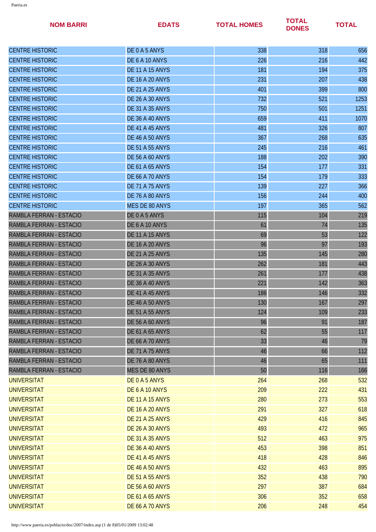| <b>NOM BARRI</b>        | <b>EDATS</b>           | <b>TOTAL HOMES</b> | <b>TOTAL</b><br><b>DONES</b> | <b>TOTAL</b> |
|-------------------------|------------------------|--------------------|------------------------------|--------------|
| <b>CENTRE HISTORIC</b>  | DE0A5ANYS              | 338                | 318                          | 656          |
| <b>CENTRE HISTORIC</b>  | DE 6 A 10 ANYS         | 226                | 216                          | 442          |
| <b>CENTRE HISTORIC</b>  | <b>DE 11 A 15 ANYS</b> | 181                | 194                          | 375          |
| <b>CENTRE HISTORIC</b>  | <b>DE 16 A 20 ANYS</b> | 231                | 207                          | 438          |
| <b>CENTRE HISTORIC</b>  | <b>DE 21 A 25 ANYS</b> | 401                | 399                          | 800          |
| <b>CENTRE HISTORIC</b>  | <b>DE 26 A 30 ANYS</b> | 732                | 521                          | 1253         |
| <b>CENTRE HISTORIC</b>  | <b>DE 31 A 35 ANYS</b> | 750                | 501                          | 1251         |
| <b>CENTRE HISTORIC</b>  | <b>DE 36 A 40 ANYS</b> | 659                | 411                          | 1070         |
| <b>CENTRE HISTORIC</b>  | DE 41 A 45 ANYS        | 481                | 326                          | 807          |
| <b>CENTRE HISTORIC</b>  | <b>DE 46 A 50 ANYS</b> | 367                | 268                          | 635          |
| <b>CENTRE HISTORIC</b>  | <b>DE 51 A 55 ANYS</b> | 245                | 216                          | 461          |
| <b>CENTRE HISTORIC</b>  | <b>DE 56 A 60 ANYS</b> | 188                | 202                          | 390          |
| <b>CENTRE HISTORIC</b>  | <b>DE 61 A 65 ANYS</b> | 154                | 177                          | 331          |
| <b>CENTRE HISTORIC</b>  | <b>DE 66 A 70 ANYS</b> | 154                | 179                          | 333          |
| <b>CENTRE HISTORIC</b>  | <b>DE 71 A 75 ANYS</b> | 139                | 227                          | 366          |
| <b>CENTRE HISTORIC</b>  | DE 76 A 80 ANYS        | 156                | 244                          | 400          |
| <b>CENTRE HISTORIC</b>  | <b>MES DE 80 ANYS</b>  | 197                | 365                          | 562          |
| RAMBLA FERRAN - ESTACIO | DE0A5ANYS              | 115                | 104                          | 219          |
| RAMBLA FERRAN - ESTACIO | DE 6 A 10 ANYS         | 61                 | 74                           | 135          |
| RAMBLA FERRAN - ESTACIO | <b>DE 11 A 15 ANYS</b> | 69                 | 53                           | 122          |
| RAMBLA FERRAN - ESTACIO | <b>DE 16 A 20 ANYS</b> | 96                 | 97                           | 193          |
| RAMBLA FERRAN - ESTACIO | <b>DE 21 A 25 ANYS</b> | 135                | 145                          | 280          |
| RAMBLA FERRAN - ESTACIO | <b>DE 26 A 30 ANYS</b> | 262                | 181                          | 443          |
| RAMBLA FERRAN - ESTACIO | <b>DE 31 A 35 ANYS</b> | 261                | 177                          | 438          |
| RAMBLA FERRAN - ESTACIO | <b>DE 36 A 40 ANYS</b> | 221                | 142                          | 363          |
| RAMBLA FERRAN - ESTACIO | DE 41 A 45 ANYS        | 186                | 146                          | 332          |
| RAMBLA FERRAN - ESTACIO | <b>DE 46 A 50 ANYS</b> | 130                | 167                          | 297          |
| RAMBLA FERRAN - ESTACIO | <b>DE 51 A 55 ANYS</b> | 124                | 109                          | 233          |
| RAMBLA FERRAN - ESTACIO | <b>DE 56 A 60 ANYS</b> | 96                 | 91                           | 187          |
| RAMBLA FERRAN - ESTACIO | <b>DE 61 A 65 ANYS</b> | 62                 | 55                           | 117          |
| RAMBLA FERRAN - ESTACIO | <b>DE 66 A 70 ANYS</b> | 33                 | 46                           | 79           |
| RAMBLA FERRAN - ESTACIO | <b>DE 71 A 75 ANYS</b> | 46                 | 66                           | 112          |
| RAMBLA FERRAN - ESTACIO | <b>DE 76 A 80 ANYS</b> | 46                 | 65                           | 111          |
| RAMBLA FERRAN - ESTACIO | MES DE 80 ANYS         | 50                 | 116                          | 166          |
| <b>UNIVERSITAT</b>      | DE0A5ANYS              | 264                | 268                          | 532          |
| <b>UNIVERSITAT</b>      | DE 6 A 10 ANYS         | 209                | 222                          | 431          |
| <b>UNIVERSITAT</b>      | <b>DE 11 A 15 ANYS</b> | 280                | 273                          | 553          |
| <b>UNIVERSITAT</b>      | <b>DE 16 A 20 ANYS</b> | 291                | 327                          | 618          |
| <b>UNIVERSITAT</b>      | <b>DE 21 A 25 ANYS</b> | 429                | 416                          | 845          |
| <b>UNIVERSITAT</b>      | <b>DE 26 A 30 ANYS</b> | 493                | 472                          | 965          |
| <b>UNIVERSITAT</b>      | <b>DE 31 A 35 ANYS</b> | 512                | 463                          | 975          |
| <b>UNIVERSITAT</b>      | <b>DE 36 A 40 ANYS</b> | 453                | 398                          | 851          |
| <b>UNIVERSITAT</b>      | <b>DE 41 A 45 ANYS</b> | 418                | 428                          | 846          |
| <b>UNIVERSITAT</b>      | <b>DE 46 A 50 ANYS</b> | 432                | 463                          | 895          |
| <b>UNIVERSITAT</b>      | <b>DE 51 A 55 ANYS</b> | 352                | 438                          | 790          |
| <b>UNIVERSITAT</b>      | <b>DE 56 A 60 ANYS</b> | 297                | 387                          | 684          |
| <b>UNIVERSITAT</b>      | <b>DE 61 A 65 ANYS</b> | 306                | 352                          | 658          |
| <b>UNIVERSITAT</b>      | <b>DE 66 A 70 ANYS</b> | 206                | 248                          | 454          |
|                         |                        |                    |                              |              |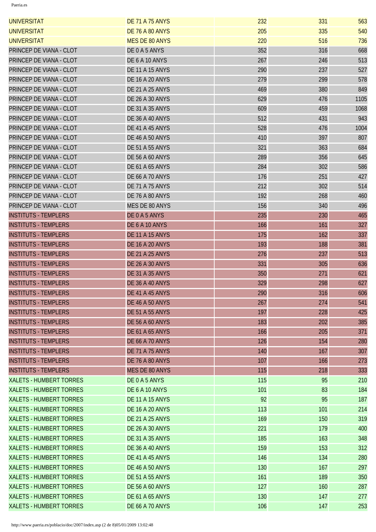| <b>UNIVERSITAT</b>             | <b>DE 71 A 75 ANYS</b> | 232 | 331 | 563  |
|--------------------------------|------------------------|-----|-----|------|
| <b>UNIVERSITAT</b>             | <b>DE 76 A 80 ANYS</b> | 205 | 335 | 540  |
| <b>UNIVERSITAT</b>             | <b>MES DE 80 ANYS</b>  | 220 | 516 | 736  |
| PRINCEP DE VIANA - CLOT        | DE0A5ANYS              | 352 | 316 | 668  |
| PRINCEP DE VIANA - CLOT        | DE 6 A 10 ANYS         | 267 | 246 | 513  |
| PRINCEP DE VIANA - CLOT        | <b>DE 11 A 15 ANYS</b> | 290 | 237 | 527  |
| PRINCEP DE VIANA - CLOT        | <b>DE 16 A 20 ANYS</b> | 279 | 299 | 578  |
| PRINCEP DE VIANA - CLOT        | <b>DE 21 A 25 ANYS</b> | 469 | 380 | 849  |
| PRINCEP DE VIANA - CLOT        | <b>DE 26 A 30 ANYS</b> | 629 | 476 | 1105 |
| PRINCEP DE VIANA - CLOT        | <b>DE 31 A 35 ANYS</b> | 609 | 459 | 1068 |
| PRINCEP DE VIANA - CLOT        | <b>DE 36 A 40 ANYS</b> | 512 | 431 | 943  |
| PRINCEP DE VIANA - CLOT        | DE 41 A 45 ANYS        | 528 | 476 | 1004 |
| PRINCEP DE VIANA - CLOT        | <b>DE 46 A 50 ANYS</b> | 410 | 397 | 807  |
| PRINCEP DE VIANA - CLOT        | <b>DE 51 A 55 ANYS</b> | 321 | 363 | 684  |
| PRINCEP DE VIANA - CLOT        | <b>DE 56 A 60 ANYS</b> | 289 | 356 | 645  |
| PRINCEP DE VIANA - CLOT        | <b>DE 61 A 65 ANYS</b> | 284 | 302 | 586  |
| PRINCEP DE VIANA - CLOT        | <b>DE 66 A 70 ANYS</b> | 176 | 251 | 427  |
| PRINCEP DE VIANA - CLOT        | <b>DE 71 A 75 ANYS</b> | 212 | 302 | 514  |
| PRINCEP DE VIANA - CLOT        | DE 76 A 80 ANYS        | 192 | 268 | 460  |
| PRINCEP DE VIANA - CLOT        | <b>MES DE 80 ANYS</b>  | 156 | 340 | 496  |
| <b>INSTITUTS - TEMPLERS</b>    | DE0A5ANYS              | 235 | 230 | 465  |
| <b>INSTITUTS - TEMPLERS</b>    | DE 6 A 10 ANYS         | 166 | 161 | 327  |
| <b>INSTITUTS - TEMPLERS</b>    | <b>DE 11 A 15 ANYS</b> | 175 | 162 | 337  |
| <b>INSTITUTS - TEMPLERS</b>    | <b>DE 16 A 20 ANYS</b> | 193 | 188 | 381  |
| <b>INSTITUTS - TEMPLERS</b>    | <b>DE 21 A 25 ANYS</b> | 276 | 237 | 513  |
| <b>INSTITUTS - TEMPLERS</b>    | <b>DE 26 A 30 ANYS</b> | 331 | 305 | 636  |
| <b>INSTITUTS - TEMPLERS</b>    | <b>DE 31 A 35 ANYS</b> | 350 | 271 | 621  |
| <b>INSTITUTS - TEMPLERS</b>    | <b>DE 36 A 40 ANYS</b> | 329 | 298 | 627  |
| <b>INSTITUTS - TEMPLERS</b>    | DE 41 A 45 ANYS        | 290 | 316 | 606  |
| <b>INSTITUTS - TEMPLERS</b>    | <b>DE 46 A 50 ANYS</b> | 267 | 274 | 541  |
| <b>INSTITUTS - TEMPLERS</b>    | <b>DE 51 A 55 ANYS</b> | 197 | 228 | 425  |
| <b>INSTITUTS - TEMPLERS</b>    | <b>DE 56 A 60 ANYS</b> | 183 | 202 | 385  |
| <b>INSTITUTS - TEMPLERS</b>    | <b>DE 61 A 65 ANYS</b> | 166 | 205 | 371  |
| <b>INSTITUTS - TEMPLERS</b>    | <b>DE 66 A 70 ANYS</b> | 126 | 154 | 280  |
| <b>INSTITUTS - TEMPLERS</b>    | <b>DE 71 A 75 ANYS</b> | 140 | 167 | 307  |
| <b>INSTITUTS - TEMPLERS</b>    | <b>DE 76 A 80 ANYS</b> | 107 | 166 | 273  |
| <b>INSTITUTS - TEMPLERS</b>    | <b>MES DE 80 ANYS</b>  | 115 | 218 | 333  |
| <b>XALETS - HUMBERT TORRES</b> | DE0A5ANYS              | 115 | 95  | 210  |
| <b>XALETS - HUMBERT TORRES</b> | DE 6 A 10 ANYS         | 101 | 83  | 184  |
| <b>XALETS - HUMBERT TORRES</b> | <b>DE 11 A 15 ANYS</b> | 92  | 95  | 187  |
| <b>XALETS - HUMBERT TORRES</b> | <b>DE 16 A 20 ANYS</b> | 113 | 101 | 214  |
| <b>XALETS - HUMBERT TORRES</b> | <b>DE 21 A 25 ANYS</b> | 169 | 150 | 319  |
| <b>XALETS - HUMBERT TORRES</b> | <b>DE 26 A 30 ANYS</b> | 221 | 179 | 400  |
| <b>XALETS - HUMBERT TORRES</b> | <b>DE 31 A 35 ANYS</b> | 185 | 163 | 348  |
| <b>XALETS - HUMBERT TORRES</b> | <b>DE 36 A 40 ANYS</b> | 159 | 153 | 312  |
| <b>XALETS - HUMBERT TORRES</b> | DE 41 A 45 ANYS        | 146 | 134 | 280  |
| <b>XALETS - HUMBERT TORRES</b> | <b>DE 46 A 50 ANYS</b> | 130 | 167 | 297  |
| <b>XALETS - HUMBERT TORRES</b> | <b>DE 51 A 55 ANYS</b> | 161 | 189 | 350  |
| <b>XALETS - HUMBERT TORRES</b> | <b>DE 56 A 60 ANYS</b> | 127 | 160 | 287  |
| <b>XALETS - HUMBERT TORRES</b> | <b>DE 61 A 65 ANYS</b> | 130 | 147 | 277  |
| <b>XALETS - HUMBERT TORRES</b> | <b>DE 66 A 70 ANYS</b> | 106 | 147 | 253  |
|                                |                        |     |     |      |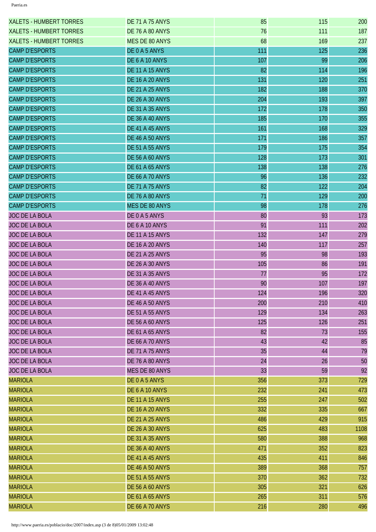| <b>XALETS - HUMBERT TORRES</b> | <b>DE 71 A 75 ANYS</b> | 85  | 115 | 200  |
|--------------------------------|------------------------|-----|-----|------|
| <b>XALETS - HUMBERT TORRES</b> | <b>DE 76 A 80 ANYS</b> | 76  | 111 | 187  |
| <b>XALETS - HUMBERT TORRES</b> | <b>MES DE 80 ANYS</b>  | 68  | 169 | 237  |
| <b>CAMP D'ESPORTS</b>          | DE 0 A 5 ANYS          | 111 | 125 | 236  |
| <b>CAMP D'ESPORTS</b>          | DE 6 A 10 ANYS         | 107 | 99  | 206  |
| <b>CAMP D'ESPORTS</b>          | <b>DE 11 A 15 ANYS</b> | 82  | 114 | 196  |
| <b>CAMP D'ESPORTS</b>          | <b>DE 16 A 20 ANYS</b> | 131 | 120 | 251  |
| <b>CAMP D'ESPORTS</b>          | <b>DE 21 A 25 ANYS</b> | 182 | 188 | 370  |
| <b>CAMP D'ESPORTS</b>          | <b>DE 26 A 30 ANYS</b> | 204 | 193 | 397  |
| <b>CAMP D'ESPORTS</b>          | <b>DE 31 A 35 ANYS</b> | 172 | 178 | 350  |
| <b>CAMP D'ESPORTS</b>          | <b>DE 36 A 40 ANYS</b> | 185 | 170 | 355  |
| <b>CAMP D'ESPORTS</b>          | DE 41 A 45 ANYS        | 161 | 168 | 329  |
| <b>CAMP D'ESPORTS</b>          | <b>DE 46 A 50 ANYS</b> | 171 | 186 | 357  |
| <b>CAMP D'ESPORTS</b>          | <b>DE 51 A 55 ANYS</b> | 179 | 175 | 354  |
| <b>CAMP D'ESPORTS</b>          | <b>DE 56 A 60 ANYS</b> | 128 | 173 | 301  |
| <b>CAMP D'ESPORTS</b>          | <b>DE 61 A 65 ANYS</b> | 138 | 138 | 276  |
| <b>CAMP D'ESPORTS</b>          | <b>DE 66 A 70 ANYS</b> | 96  | 136 | 232  |
| <b>CAMP D'ESPORTS</b>          | <b>DE 71 A 75 ANYS</b> | 82  | 122 | 204  |
| <b>CAMP D'ESPORTS</b>          | <b>DE 76 A 80 ANYS</b> | 71  | 129 | 200  |
| <b>CAMP D'ESPORTS</b>          | <b>MES DE 80 ANYS</b>  | 98  | 178 | 276  |
| <b>JOC DE LA BOLA</b>          | DE0A5ANYS              | 80  | 93  | 173  |
| <b>JOC DE LA BOLA</b>          | DE 6 A 10 ANYS         | 91  | 111 | 202  |
| <b>JOC DE LA BOLA</b>          | <b>DE 11 A 15 ANYS</b> | 132 | 147 | 279  |
| <b>JOC DE LA BOLA</b>          | <b>DE 16 A 20 ANYS</b> | 140 | 117 | 257  |
| <b>JOC DE LA BOLA</b>          | <b>DE 21 A 25 ANYS</b> | 95  | 98  | 193  |
| <b>JOC DE LA BOLA</b>          | <b>DE 26 A 30 ANYS</b> | 105 | 86  | 191  |
| <b>JOC DE LA BOLA</b>          | <b>DE 31 A 35 ANYS</b> | 77  | 95  | 172  |
| <b>JOC DE LA BOLA</b>          | <b>DE 36 A 40 ANYS</b> | 90  | 107 | 197  |
| <b>JOC DE LA BOLA</b>          | DE 41 A 45 ANYS        | 124 | 196 | 320  |
| <b>JOC DE LA BOLA</b>          | <b>DE 46 A 50 ANYS</b> | 200 | 210 | 410  |
| <b>JOC DE LA BOLA</b>          | <b>DE 51 A 55 ANYS</b> | 129 | 134 | 263  |
| <b>JOC DE LA BOLA</b>          | <b>DE 56 A 60 ANYS</b> | 125 | 126 | 251  |
| <b>JOC DE LA BOLA</b>          | <b>DE 61 A 65 ANYS</b> | 82  | 73  | 155  |
| <b>JOC DE LA BOLA</b>          | <b>DE 66 A 70 ANYS</b> | 43  | 42  | 85   |
| <b>JOC DE LA BOLA</b>          | <b>DE 71 A 75 ANYS</b> | 35  | 44  | 79   |
| <b>JOC DE LA BOLA</b>          | <b>DE 76 A 80 ANYS</b> | 24  | 26  | 50   |
| <b>JOC DE LA BOLA</b>          | MES DE 80 ANYS         | 33  | 59  | 92   |
| <b>MARIOLA</b>                 | DE0A5ANYS              | 356 | 373 | 729  |
| <b>MARIOLA</b>                 | DE 6 A 10 ANYS         | 232 | 241 | 473  |
| <b>MARIOLA</b>                 | <b>DE 11 A 15 ANYS</b> | 255 | 247 | 502  |
| <b>MARIOLA</b>                 | <b>DE 16 A 20 ANYS</b> | 332 | 335 | 667  |
| <b>MARIOLA</b>                 | <b>DE 21 A 25 ANYS</b> | 486 | 429 | 915  |
| <b>MARIOLA</b>                 | <b>DE 26 A 30 ANYS</b> | 625 | 483 | 1108 |
| <b>MARIOLA</b>                 | <b>DE 31 A 35 ANYS</b> | 580 | 388 | 968  |
| <b>MARIOLA</b>                 | <b>DE 36 A 40 ANYS</b> | 471 | 352 | 823  |
| <b>MARIOLA</b>                 | DE 41 A 45 ANYS        | 435 | 411 | 846  |
| <b>MARIOLA</b>                 | <b>DE 46 A 50 ANYS</b> | 389 | 368 | 757  |
| <b>MARIOLA</b>                 | <b>DE 51 A 55 ANYS</b> | 370 | 362 | 732  |
| <b>MARIOLA</b>                 | <b>DE 56 A 60 ANYS</b> | 305 | 321 | 626  |
| <b>MARIOLA</b>                 | <b>DE 61 A 65 ANYS</b> | 265 | 311 | 576  |
| <b>MARIOLA</b>                 | <b>DE 66 A 70 ANYS</b> | 216 | 280 | 496  |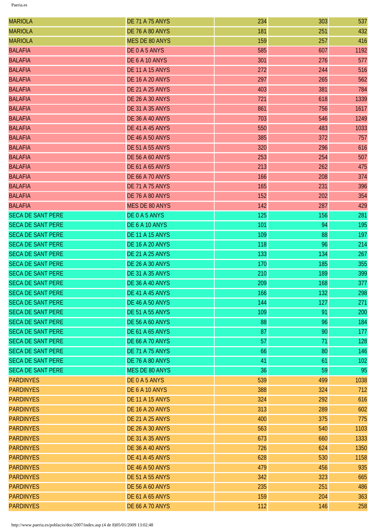| <b>MARIOLA</b>           | <b>DE 71 A 75 ANYS</b> | 234 | 303 | 537  |
|--------------------------|------------------------|-----|-----|------|
| <b>MARIOLA</b>           | <b>DE 76 A 80 ANYS</b> | 181 | 251 | 432  |
| <b>MARIOLA</b>           | <b>MES DE 80 ANYS</b>  | 159 | 257 | 416  |
| <b>BALAFIA</b>           | DE0A5ANYS              | 585 | 607 | 1192 |
| <b>BALAFIA</b>           | DE 6 A 10 ANYS         | 301 | 276 | 577  |
| <b>BALAFIA</b>           | <b>DE 11 A 15 ANYS</b> | 272 | 244 | 516  |
| <b>BALAFIA</b>           | <b>DE 16 A 20 ANYS</b> | 297 | 265 | 562  |
| <b>BALAFIA</b>           | <b>DE 21 A 25 ANYS</b> | 403 | 381 | 784  |
| <b>BALAFIA</b>           | <b>DE 26 A 30 ANYS</b> | 721 | 618 | 1339 |
| <b>BALAFIA</b>           | <b>DE 31 A 35 ANYS</b> | 861 | 756 | 1617 |
| <b>BALAFIA</b>           | <b>DE 36 A 40 ANYS</b> | 703 | 546 | 1249 |
| <b>BALAFIA</b>           | DE 41 A 45 ANYS        | 550 | 483 | 1033 |
| <b>BALAFIA</b>           | <b>DE 46 A 50 ANYS</b> | 385 | 372 | 757  |
| <b>BALAFIA</b>           | <b>DE 51 A 55 ANYS</b> | 320 | 296 | 616  |
| <b>BALAFIA</b>           | <b>DE 56 A 60 ANYS</b> | 253 | 254 | 507  |
| <b>BALAFIA</b>           | <b>DE 61 A 65 ANYS</b> | 213 | 262 | 475  |
| <b>BALAFIA</b>           | <b>DE 66 A 70 ANYS</b> | 166 | 208 | 374  |
| <b>BALAFIA</b>           | <b>DE 71 A 75 ANYS</b> | 165 | 231 | 396  |
| <b>BALAFIA</b>           | <b>DE 76 A 80 ANYS</b> | 152 | 202 | 354  |
| <b>BALAFIA</b>           | <b>MES DE 80 ANYS</b>  | 142 | 287 | 429  |
| <b>SECA DE SANT PERE</b> | DE0A5ANYS              | 125 | 156 | 281  |
| <b>SECA DE SANT PERE</b> | DE 6 A 10 ANYS         | 101 | 94  | 195  |
| <b>SECA DE SANT PERE</b> | <b>DE 11 A 15 ANYS</b> | 109 | 88  | 197  |
| <b>SECA DE SANT PERE</b> | <b>DE 16 A 20 ANYS</b> | 118 | 96  | 214  |
| <b>SECA DE SANT PERE</b> | <b>DE 21 A 25 ANYS</b> | 133 | 134 | 267  |
| <b>SECA DE SANT PERE</b> | <b>DE 26 A 30 ANYS</b> | 170 | 185 | 355  |
| <b>SECA DE SANT PERE</b> | DE 31 A 35 ANYS        | 210 | 189 | 399  |
| <b>SECA DE SANT PERE</b> | <b>DE 36 A 40 ANYS</b> | 209 | 168 | 377  |
| <b>SECA DE SANT PERE</b> | DE 41 A 45 ANYS        | 166 | 132 | 298  |
| <b>SECA DE SANT PERE</b> | <b>DE 46 A 50 ANYS</b> | 144 | 127 | 271  |
| <b>SECA DE SANT PERE</b> | <b>DE 51 A 55 ANYS</b> | 109 | 91  | 200  |
| <b>SECA DE SANT PERE</b> | <b>DE 56 A 60 ANYS</b> | 88  | 96  | 184  |
| <b>SECA DE SANT PERE</b> | <b>DE 61 A 65 ANYS</b> | 87  | 90  | 177  |
| <b>SECA DE SANT PERE</b> | <b>DE 66 A 70 ANYS</b> | 57  | 71  | 128  |
| <b>SECA DE SANT PERE</b> | <b>DE 71 A 75 ANYS</b> | 66  | 80  | 146  |
| <b>SECA DE SANT PERE</b> | <b>DE 76 A 80 ANYS</b> | 41  | 61  | 102  |
| <b>SECA DE SANT PERE</b> | <b>MES DE 80 ANYS</b>  | 36  | 59  | 95   |
| <b>PARDINYES</b>         | DE0A5ANYS              | 539 | 499 | 1038 |
| <b>PARDINYES</b>         | DE 6 A 10 ANYS         | 388 | 324 | 712  |
| <b>PARDINYES</b>         | <b>DE 11 A 15 ANYS</b> | 324 | 292 | 616  |
| <b>PARDINYES</b>         | <b>DE 16 A 20 ANYS</b> | 313 | 289 | 602  |
| <b>PARDINYES</b>         | <b>DE 21 A 25 ANYS</b> | 400 | 375 | 775  |
| <b>PARDINYES</b>         | <b>DE 26 A 30 ANYS</b> | 563 | 540 | 1103 |
| <b>PARDINYES</b>         | <b>DE 31 A 35 ANYS</b> | 673 | 660 | 1333 |
| <b>PARDINYES</b>         | <b>DE 36 A 40 ANYS</b> | 726 | 624 | 1350 |
| <b>PARDINYES</b>         | DE 41 A 45 ANYS        | 628 | 530 | 1158 |
| <b>PARDINYES</b>         | <b>DE 46 A 50 ANYS</b> | 479 | 456 | 935  |
| <b>PARDINYES</b>         | <b>DE 51 A 55 ANYS</b> | 342 | 323 | 665  |
| <b>PARDINYES</b>         | <b>DE 56 A 60 ANYS</b> | 235 | 251 | 486  |
| <b>PARDINYES</b>         | <b>DE 61 A 65 ANYS</b> | 159 | 204 | 363  |
| <b>PARDINYES</b>         | <b>DE 66 A 70 ANYS</b> | 112 | 146 | 258  |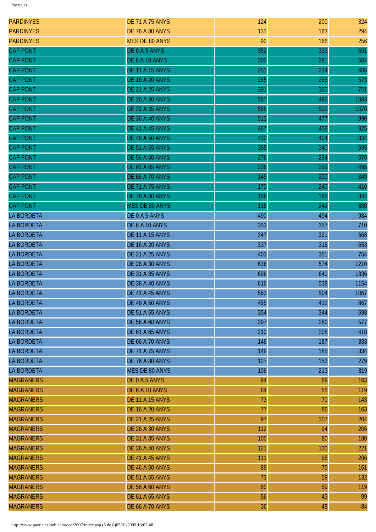| <b>PARDINYES</b>  | <b>DE 71 A 75 ANYS</b> | 124 | 200 | 324  |
|-------------------|------------------------|-----|-----|------|
| <b>PARDINYES</b>  | <b>DE 76 A 80 ANYS</b> | 131 | 163 | 294  |
| <b>PARDINYES</b>  | <b>MES DE 80 ANYS</b>  | 90  | 166 | 256  |
| <b>CAP PONT</b>   | DE0A5ANYS              | 352 | 339 | 691  |
| <b>CAP PONT</b>   | DE 6 A 10 ANYS         | 303 | 281 | 584  |
| <b>CAP PONT</b>   | <b>DE 11 A 15 ANYS</b> | 251 | 234 | 485  |
| <b>CAP PONT</b>   | <b>DE 16 A 20 ANYS</b> | 285 | 288 | 573  |
| <b>CAP PONT</b>   | <b>DE 21 A 25 ANYS</b> | 391 | 360 | 751  |
| <b>CAP PONT</b>   | <b>DE 26 A 30 ANYS</b> | 587 | 496 | 1083 |
| <b>CAP PONT</b>   | <b>DE 31 A 35 ANYS</b> | 568 | 502 | 1070 |
| <b>CAP PONT</b>   | DE 36 A 40 ANYS        | 513 | 477 | 990  |
| <b>CAP PONT</b>   | DE 41 A 45 ANYS        | 467 | 458 | 925  |
| <b>CAP PONT</b>   | <b>DE 46 A 50 ANYS</b> | 430 | 404 | 834  |
| <b>CAP PONT</b>   | <b>DE 51 A 55 ANYS</b> | 355 | 340 | 695  |
| <b>CAP PONT</b>   | <b>DE 56 A 60 ANYS</b> | 276 | 294 | 570  |
| <b>CAP PONT</b>   | <b>DE 61 A 65 ANYS</b> | 236 | 259 | 495  |
| <b>CAP PONT</b>   | <b>DE 66 A 70 ANYS</b> | 149 | 200 | 349  |
| <b>CAP PONT</b>   | <b>DE 71 A 75 ANYS</b> | 170 | 240 | 410  |
| <b>CAP PONT</b>   | DE 76 A 80 ANYS        | 158 | 186 | 344  |
| <b>CAP PONT</b>   | <b>MES DE 80 ANYS</b>  | 138 | 242 | 380  |
| <b>LA BORDETA</b> | DE0A5ANYS              | 490 | 494 | 984  |
| <b>LA BORDETA</b> | DE 6 A 10 ANYS         | 353 | 357 | 710  |
| <b>LA BORDETA</b> | <b>DE 11 A 15 ANYS</b> | 347 | 321 | 668  |
| <b>LA BORDETA</b> | <b>DE 16 A 20 ANYS</b> | 337 | 316 | 653  |
| <b>LA BORDETA</b> | <b>DE 21 A 25 ANYS</b> | 403 | 351 | 754  |
| <b>LA BORDETA</b> | <b>DE 26 A 30 ANYS</b> | 636 | 574 | 1210 |
| <b>LA BORDETA</b> | <b>DE 31 A 35 ANYS</b> | 696 | 640 | 1336 |
| <b>LA BORDETA</b> | <b>DE 36 A 40 ANYS</b> | 616 | 538 | 1154 |
| <b>LA BORDETA</b> | DE 41 A 45 ANYS        | 563 | 504 | 1067 |
| <b>LA BORDETA</b> | <b>DE 46 A 50 ANYS</b> | 455 | 412 | 867  |
| <b>LA BORDETA</b> | <b>DE 51 A 55 ANYS</b> | 354 | 344 | 698  |
| <b>LA BORDETA</b> | <b>DE 56 A 60 ANYS</b> | 297 | 280 | 577  |
| <b>LA BORDETA</b> | <b>DE 61 A 65 ANYS</b> | 210 | 208 | 418  |
| <b>LA BORDETA</b> | <b>DE 66 A 70 ANYS</b> | 146 | 187 | 333  |
| <b>LA BORDETA</b> | <b>DE 71 A 75 ANYS</b> | 149 | 185 | 334  |
| <b>LA BORDETA</b> | <b>DE 76 A 80 ANYS</b> | 127 | 152 | 279  |
| <b>LA BORDETA</b> | <b>MES DE 80 ANYS</b>  | 106 | 213 | 319  |
| <b>MAGRANERS</b>  | DE0A5ANYS              | 94  | 69  | 163  |
| <b>MAGRANERS</b>  | DE 6 A 10 ANYS         | 64  | 55  | 119  |
| <b>MAGRANERS</b>  | <b>DE 11 A 15 ANYS</b> | 73  | 70  | 143  |
| <b>MAGRANERS</b>  | <b>DE 16 A 20 ANYS</b> | 77  | 86  | 163  |
| <b>MAGRANERS</b>  | <b>DE 21 A 25 ANYS</b> | 97  | 107 | 204  |
| <b>MAGRANERS</b>  | <b>DE 26 A 30 ANYS</b> | 112 | 94  | 206  |
| <b>MAGRANERS</b>  | <b>DE 31 A 35 ANYS</b> | 100 | 80  | 180  |
| <b>MAGRANERS</b>  | <b>DE 36 A 40 ANYS</b> | 121 | 100 | 221  |
| <b>MAGRANERS</b>  | DE 41 A 45 ANYS        | 111 | 95  | 206  |
| <b>MAGRANERS</b>  | <b>DE 46 A 50 ANYS</b> | 86  | 75  | 161  |
| <b>MAGRANERS</b>  | <b>DE 51 A 55 ANYS</b> | 73  | 59  | 132  |
| <b>MAGRANERS</b>  | <b>DE 56 A 60 ANYS</b> | 60  | 59  | 119  |
| <b>MAGRANERS</b>  | <b>DE 61 A 65 ANYS</b> | 56  | 43  | 99   |
| <b>MAGRANERS</b>  | <b>DE 66 A 70 ANYS</b> | 36  | 48  | 84   |
|                   |                        |     |     |      |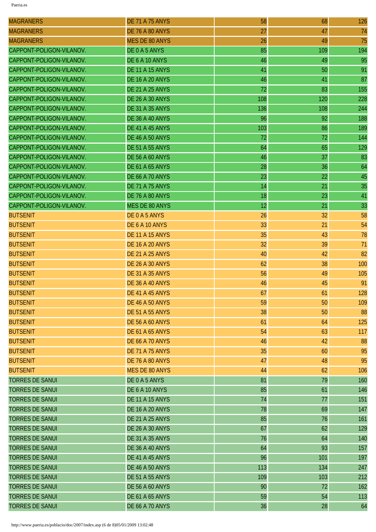| <b>MAGRANERS</b>         | <b>DE 71 A 75 ANYS</b> | 58  | 68  | 126 |
|--------------------------|------------------------|-----|-----|-----|
| <b>MAGRANERS</b>         | <b>DE 76 A 80 ANYS</b> | 27  | 47  | 74  |
| <b>MAGRANERS</b>         | <b>MES DE 80 ANYS</b>  | 26  | 49  | 75  |
| CAPPONT-POLIGON-VILANOV. | DE0A5ANYS              | 85  | 109 | 194 |
| CAPPONT-POLIGON-VILANOV. | DE 6 A 10 ANYS         | 46  | 49  | 95  |
| CAPPONT-POLIGON-VILANOV. | <b>DE 11 A 15 ANYS</b> | 41  | 50  | 91  |
| CAPPONT-POLIGON-VILANOV. | <b>DE 16 A 20 ANYS</b> | 46  | 41  | 87  |
| CAPPONT-POLIGON-VILANOV. | <b>DE 21 A 25 ANYS</b> | 72  | 83  | 155 |
| CAPPONT-POLIGON-VILANOV. | <b>DE 26 A 30 ANYS</b> | 108 | 120 | 228 |
| CAPPONT-POLIGON-VILANOV. | <b>DE 31 A 35 ANYS</b> | 136 | 108 | 244 |
| CAPPONT-POLIGON-VILANOV. | <b>DE 36 A 40 ANYS</b> | 96  | 92  | 188 |
| CAPPONT-POLIGON-VILANOV. | DE 41 A 45 ANYS        | 103 | 86  | 189 |
| CAPPONT-POLIGON-VILANOV. | <b>DE 46 A 50 ANYS</b> | 72  | 72  | 144 |
| CAPPONT-POLIGON-VILANOV. | <b>DE 51 A 55 ANYS</b> | 64  | 65  | 129 |
| CAPPONT-POLIGON-VILANOV. | <b>DE 56 A 60 ANYS</b> | 46  | 37  | 83  |
| CAPPONT-POLIGON-VILANOV. | <b>DE 61 A 65 ANYS</b> | 28  | 36  | 64  |
| CAPPONT-POLIGON-VILANOV. | <b>DE 66 A 70 ANYS</b> | 23  | 22  | 45  |
| CAPPONT-POLIGON-VILANOV. | <b>DE 71 A 75 ANYS</b> | 14  | 21  | 35  |
| CAPPONT-POLIGON-VILANOV. | <b>DE 76 A 80 ANYS</b> | 18  | 23  | 41  |
| CAPPONT-POLIGON-VILANOV. | <b>MES DE 80 ANYS</b>  | 12  | 21  | 33  |
| <b>BUTSENIT</b>          | DE0A5ANYS              | 26  | 32  | 58  |
| <b>BUTSENIT</b>          | DE 6 A 10 ANYS         | 33  | 21  | 54  |
| <b>BUTSENIT</b>          | <b>DE 11 A 15 ANYS</b> | 35  | 43  | 78  |
| <b>BUTSENIT</b>          | <b>DE 16 A 20 ANYS</b> | 32  | 39  | 71  |
| <b>BUTSENIT</b>          | <b>DE 21 A 25 ANYS</b> | 40  | 42  | 82  |
| <b>BUTSENIT</b>          | <b>DE 26 A 30 ANYS</b> | 62  | 38  | 100 |
| <b>BUTSENIT</b>          | <b>DE 31 A 35 ANYS</b> | 56  | 49  | 105 |
| <b>BUTSENIT</b>          | <b>DE 36 A 40 ANYS</b> | 46  | 45  | 91  |
| <b>BUTSENIT</b>          | <b>DE 41 A 45 ANYS</b> | 67  | 61  | 128 |
| <b>BUTSENIT</b>          | <b>DE 46 A 50 ANYS</b> | 59  | 50  | 109 |
| <b>BUTSENIT</b>          | <b>DE 51 A 55 ANYS</b> | 38  | 50  | 88  |
| <b>BUTSENIT</b>          | <b>DE 56 A 60 ANYS</b> | 61  | 64  | 125 |
| <b>BUTSENIT</b>          | <b>DE 61 A 65 ANYS</b> | 54  | 63  | 117 |
| <b>BUTSENIT</b>          | <b>DE 66 A 70 ANYS</b> | 46  | 42  | 88  |
| <b>BUTSENIT</b>          | <b>DE 71 A 75 ANYS</b> | 35  | 60  | 95  |
| <b>BUTSENIT</b>          | <b>DE 76 A 80 ANYS</b> | 47  | 48  | 95  |
| <b>BUTSENIT</b>          | <b>MES DE 80 ANYS</b>  | 44  | 62  | 106 |
| <b>TORRES DE SANUI</b>   | DE0A5ANYS              | 81  | 79  | 160 |
| <b>TORRES DE SANUI</b>   | DE 6 A 10 ANYS         | 85  | 61  | 146 |
| <b>TORRES DE SANUI</b>   | <b>DE 11 A 15 ANYS</b> | 74  | 77  | 151 |
| <b>TORRES DE SANUI</b>   | <b>DE 16 A 20 ANYS</b> | 78  | 69  | 147 |
| <b>TORRES DE SANUI</b>   | <b>DE 21 A 25 ANYS</b> | 85  | 76  | 161 |
| <b>TORRES DE SANUI</b>   | <b>DE 26 A 30 ANYS</b> | 67  | 62  | 129 |
| <b>TORRES DE SANUI</b>   | <b>DE 31 A 35 ANYS</b> | 76  | 64  | 140 |
| <b>TORRES DE SANUI</b>   | <b>DE 36 A 40 ANYS</b> | 64  | 93  | 157 |
| <b>TORRES DE SANUI</b>   | DE 41 A 45 ANYS        | 96  | 101 | 197 |
| <b>TORRES DE SANUI</b>   | <b>DE 46 A 50 ANYS</b> | 113 | 134 | 247 |
| <b>TORRES DE SANUI</b>   | <b>DE 51 A 55 ANYS</b> | 109 | 103 | 212 |
| <b>TORRES DE SANUI</b>   | <b>DE 56 A 60 ANYS</b> | 90  | 72  | 162 |
| <b>TORRES DE SANUI</b>   | <b>DE 61 A 65 ANYS</b> | 59  | 54  | 113 |
| <b>TORRES DE SANUI</b>   | <b>DE 66 A 70 ANYS</b> | 36  | 28  | 64  |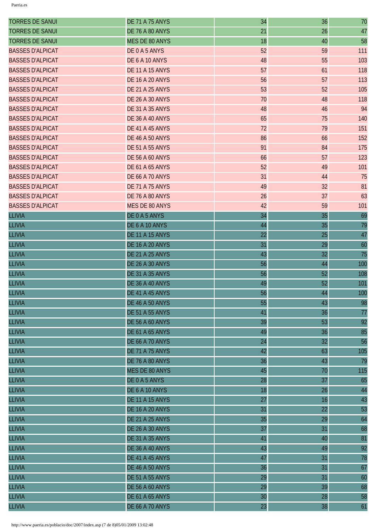| <b>TORRES DE SANUI</b>  | <b>DE 71 A 75 ANYS</b> | 34 | 36 | 70  |
|-------------------------|------------------------|----|----|-----|
| <b>TORRES DE SANUI</b>  | <b>DE 76 A 80 ANYS</b> | 21 | 26 | 47  |
| <b>TORRES DE SANUI</b>  | MES DE 80 ANYS         | 18 | 40 | 58  |
| <b>BASSES D'ALPICAT</b> | DE0A5ANYS              | 52 | 59 | 111 |
| <b>BASSES D'ALPICAT</b> | DE 6 A 10 ANYS         | 48 | 55 | 103 |
| <b>BASSES D'ALPICAT</b> | <b>DE 11 A 15 ANYS</b> | 57 | 61 | 118 |
| <b>BASSES D'ALPICAT</b> | <b>DE 16 A 20 ANYS</b> | 56 | 57 | 113 |
| <b>BASSES D'ALPICAT</b> | <b>DE 21 A 25 ANYS</b> | 53 | 52 | 105 |
| <b>BASSES D'ALPICAT</b> | <b>DE 26 A 30 ANYS</b> | 70 | 48 | 118 |
| <b>BASSES D'ALPICAT</b> | <b>DE 31 A 35 ANYS</b> | 48 | 46 | 94  |
| <b>BASSES D'ALPICAT</b> | <b>DE 36 A 40 ANYS</b> | 65 | 75 | 140 |
| <b>BASSES D'ALPICAT</b> | DE 41 A 45 ANYS        | 72 | 79 | 151 |
| <b>BASSES D'ALPICAT</b> | <b>DE 46 A 50 ANYS</b> | 86 | 66 | 152 |
| <b>BASSES D'ALPICAT</b> | <b>DE 51 A 55 ANYS</b> | 91 | 84 | 175 |
| <b>BASSES D'ALPICAT</b> | <b>DE 56 A 60 ANYS</b> | 66 | 57 | 123 |
| <b>BASSES D'ALPICAT</b> | <b>DE 61 A 65 ANYS</b> | 52 | 49 | 101 |
| <b>BASSES D'ALPICAT</b> | <b>DE 66 A 70 ANYS</b> | 31 | 44 | 75  |
| <b>BASSES D'ALPICAT</b> | <b>DE 71 A 75 ANYS</b> | 49 | 32 | 81  |
| <b>BASSES D'ALPICAT</b> | <b>DE 76 A 80 ANYS</b> | 26 | 37 | 63  |
| <b>BASSES D'ALPICAT</b> | <b>MES DE 80 ANYS</b>  | 42 | 59 | 101 |
| <b>LLIVIA</b>           | DE0A5ANYS              | 34 | 35 | 69  |
| <b>LLIVIA</b>           | DE 6 A 10 ANYS         | 44 | 35 | 79  |
| <b>LLIVIA</b>           | <b>DE 11 A 15 ANYS</b> | 22 | 25 | 47  |
| <b>LLIVIA</b>           | <b>DE 16 A 20 ANYS</b> | 31 | 29 | 60  |
| <b>LLIVIA</b>           | <b>DE 21 A 25 ANYS</b> | 43 | 32 | 75  |
| <b>LLIVIA</b>           | <b>DE 26 A 30 ANYS</b> | 56 | 44 | 100 |
| <b>LLIVIA</b>           | <b>DE 31 A 35 ANYS</b> | 56 | 52 | 108 |
| <b>LLIVIA</b>           | <b>DE 36 A 40 ANYS</b> | 49 | 52 | 101 |
| <b>LLIVIA</b>           | DE 41 A 45 ANYS        | 56 | 44 | 100 |
| <b>LLIVIA</b>           | <b>DE 46 A 50 ANYS</b> | 55 | 43 | 98  |
| <b>LLIVIA</b>           | <b>DE 51 A 55 ANYS</b> | 41 | 36 | 77  |
| <b>LLIVIA</b>           | <b>DE 56 A 60 ANYS</b> | 39 | 53 | 92  |
| <b>LLIVIA</b>           | <b>DE 61 A 65 ANYS</b> | 49 | 36 | 85  |
| <b>LLIVIA</b>           | <b>DE 66 A 70 ANYS</b> | 24 | 32 | 56  |
| <b>LLIVIA</b>           | <b>DE 71 A 75 ANYS</b> | 42 | 63 | 105 |
| <b>LLIVIA</b>           | <b>DE 76 A 80 ANYS</b> | 36 | 43 | 79  |
| <b>LLIVIA</b>           | <b>MES DE 80 ANYS</b>  | 45 | 70 | 115 |
| <b>LLIVIA</b>           | DE0A5ANYS              | 28 | 37 | 65  |
| <b>LLIVIA</b>           | DE 6 A 10 ANYS         | 18 | 26 | 44  |
| <b>LLIVIA</b>           | <b>DE 11 A 15 ANYS</b> | 27 | 16 | 43  |
| <b>LLIVIA</b>           | <b>DE 16 A 20 ANYS</b> | 31 | 22 | 53  |
| <b>LLIVIA</b>           | <b>DE 21 A 25 ANYS</b> | 35 | 29 | 64  |
| <b>LLIVIA</b>           | <b>DE 26 A 30 ANYS</b> | 37 | 31 | 68  |
| <b>LLIVIA</b>           | <b>DE 31 A 35 ANYS</b> | 41 | 40 | 81  |
| <b>LLIVIA</b>           | DE 36 A 40 ANYS        | 43 | 49 | 92  |
| <b>LLIVIA</b>           | DE 41 A 45 ANYS        | 47 | 31 | 78  |
| <b>LLIVIA</b>           | <b>DE 46 A 50 ANYS</b> | 36 | 31 | 67  |
| <b>LLIVIA</b>           | <b>DE 51 A 55 ANYS</b> | 29 | 31 | 60  |
| <b>LLIVIA</b>           | <b>DE 56 A 60 ANYS</b> | 29 | 39 | 68  |
| <b>LLIVIA</b>           | <b>DE 61 A 65 ANYS</b> | 30 | 28 | 58  |
| <b>LLIVIA</b>           | <b>DE 66 A 70 ANYS</b> | 23 | 38 | 61  |